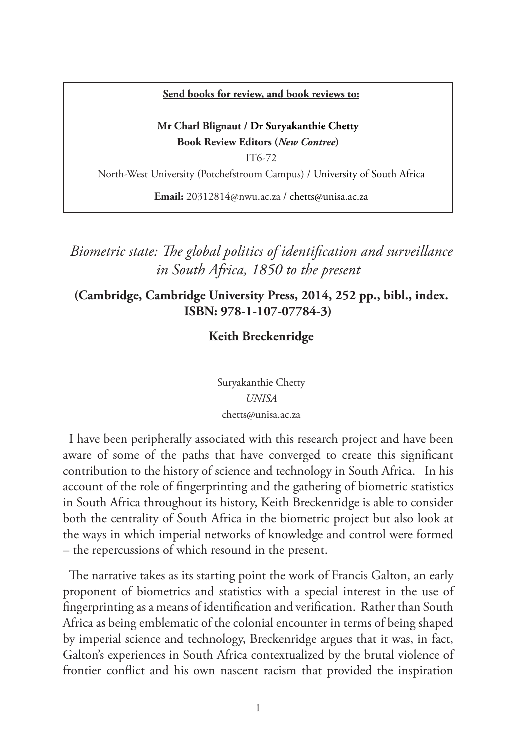#### **Send books for review, and book reviews to:**

## **Mr Charl Blignaut / Dr Suryakanthie Chetty Book Review Editors (***New Contree***)**

IT6-72

North-West University (Potchefstroom Campus) / University of South Africa

**Email:** 20312814@nwu.ac.za / chetts@unisa.ac.za

# *Biometric state: The global politics of identification and surveillance in South Africa, 1850 to the present*

# **(Cambridge, Cambridge University Press, 2014, 252 pp., bibl., index. ISBN: 978-1-107-07784-3)**

## **Keith Breckenridge**

Suryakanthie Chetty *UNISA* chetts@unisa.ac.za

I have been peripherally associated with this research project and have been aware of some of the paths that have converged to create this significant contribution to the history of science and technology in South Africa. In his account of the role of fingerprinting and the gathering of biometric statistics in South Africa throughout its history, Keith Breckenridge is able to consider both the centrality of South Africa in the biometric project but also look at the ways in which imperial networks of knowledge and control were formed – the repercussions of which resound in the present.

The narrative takes as its starting point the work of Francis Galton, an early proponent of biometrics and statistics with a special interest in the use of fingerprinting as a means of identification and verification. Rather than South Africa as being emblematic of the colonial encounter in terms of being shaped by imperial science and technology, Breckenridge argues that it was, in fact, Galton's experiences in South Africa contextualized by the brutal violence of frontier conflict and his own nascent racism that provided the inspiration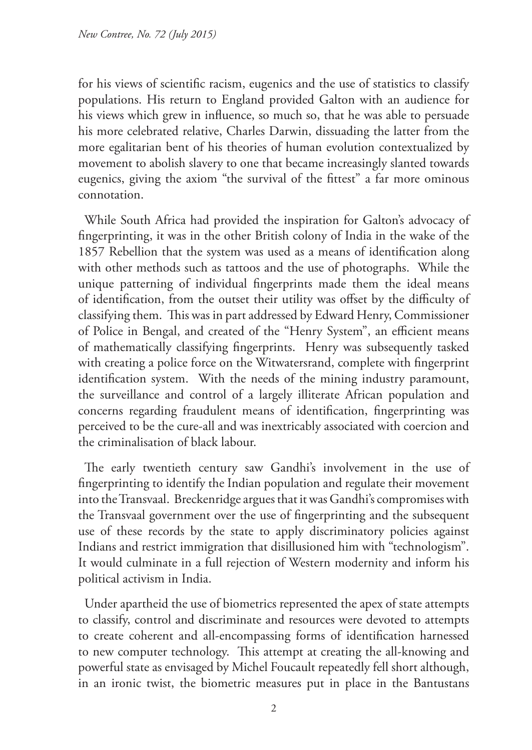for his views of scientific racism, eugenics and the use of statistics to classify populations. His return to England provided Galton with an audience for his views which grew in influence, so much so, that he was able to persuade his more celebrated relative, Charles Darwin, dissuading the latter from the more egalitarian bent of his theories of human evolution contextualized by movement to abolish slavery to one that became increasingly slanted towards eugenics, giving the axiom "the survival of the fittest" a far more ominous connotation.

While South Africa had provided the inspiration for Galton's advocacy of fingerprinting, it was in the other British colony of India in the wake of the 1857 Rebellion that the system was used as a means of identification along with other methods such as tattoos and the use of photographs. While the unique patterning of individual fingerprints made them the ideal means of identification, from the outset their utility was offset by the difficulty of classifying them. This was in part addressed by Edward Henry, Commissioner of Police in Bengal, and created of the "Henry System", an efficient means of mathematically classifying fingerprints. Henry was subsequently tasked with creating a police force on the Witwatersrand, complete with fingerprint identification system. With the needs of the mining industry paramount, the surveillance and control of a largely illiterate African population and concerns regarding fraudulent means of identification, fingerprinting was perceived to be the cure-all and was inextricably associated with coercion and the criminalisation of black labour.

The early twentieth century saw Gandhi's involvement in the use of fingerprinting to identify the Indian population and regulate their movement into the Transvaal. Breckenridge argues that it was Gandhi's compromises with the Transvaal government over the use of fingerprinting and the subsequent use of these records by the state to apply discriminatory policies against Indians and restrict immigration that disillusioned him with "technologism". It would culminate in a full rejection of Western modernity and inform his political activism in India.

Under apartheid the use of biometrics represented the apex of state attempts to classify, control and discriminate and resources were devoted to attempts to create coherent and all-encompassing forms of identification harnessed to new computer technology. This attempt at creating the all-knowing and powerful state as envisaged by Michel Foucault repeatedly fell short although, in an ironic twist, the biometric measures put in place in the Bantustans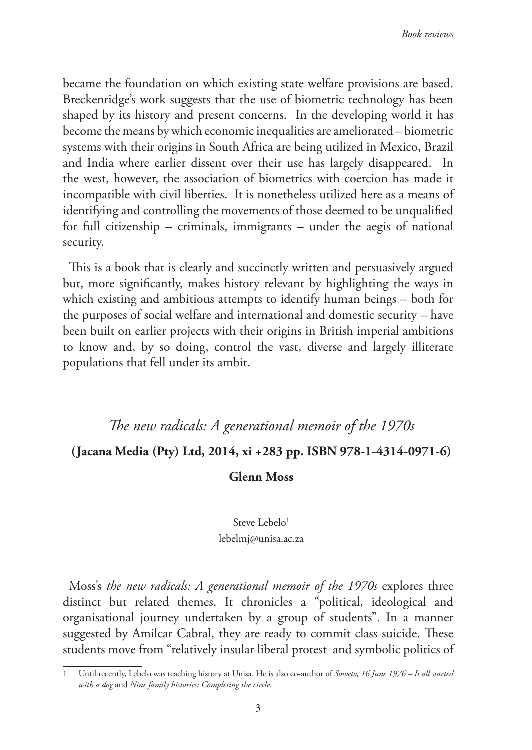became the foundation on which existing state welfare provisions are based. Breckenridge's work suggests that the use of biometric technology has been shaped by its history and present concerns. In the developing world it has become the means by which economic inequalities are ameliorated – biometric systems with their origins in South Africa are being utilized in Mexico, Brazil and India where earlier dissent over their use has largely disappeared. In the west, however, the association of biometrics with coercion has made it incompatible with civil liberties. It is nonetheless utilized here as a means of identifying and controlling the movements of those deemed to be unqualified for full citizenship – criminals, immigrants – under the aegis of national security.

This is a book that is clearly and succinctly written and persuasively argued but, more significantly, makes history relevant by highlighting the ways in which existing and ambitious attempts to identify human beings – both for the purposes of social welfare and international and domestic security – have been built on earlier projects with their origins in British imperial ambitions to know and, by so doing, control the vast, diverse and largely illiterate populations that fell under its ambit.

# *The new radicals: A generational memoir of the 1970s*

### **(Jacana Media (Pty) Ltd, 2014, xi +283 pp. ISBN 978-1-4314-0971-6)**

#### **Glenn Moss**

#### Steve Lebelo<sup>1</sup>

lebelmj@unisa.ac.za

Moss's *the new radicals: A generational memoir of the 1970s* explores three distinct but related themes. It chronicles a "political, ideological and organisational journey undertaken by a group of students". In a manner suggested by Amilcar Cabral, they are ready to commit class suicide. These students move from "relatively insular liberal protest and symbolic politics of

<sup>1</sup> Until recently, Lebelo was teaching history at Unisa. He is also co-author of *Soweto, 16 June 1976 – It all started with a dog* and *Nine family histories: Completing the circle.*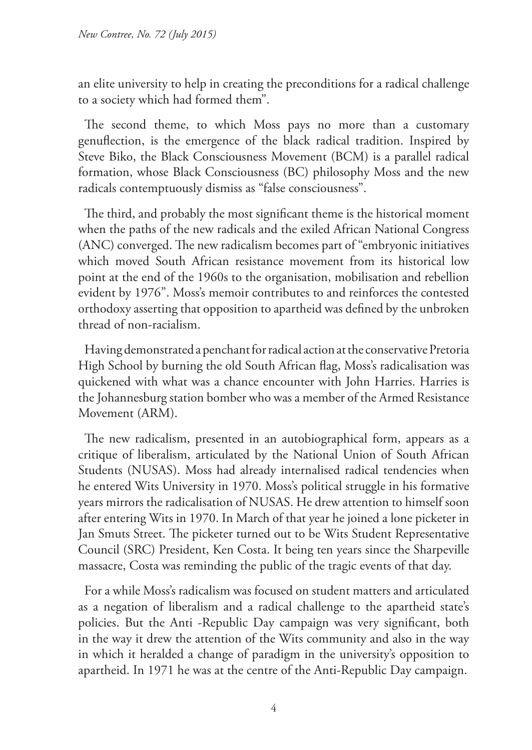an elite university to help in creating the preconditions for a radical challenge to a society which had formed them".

The second theme, to which Moss pays no more than a customary genuflection, is the emergence of the black radical tradition. Inspired by Steve Biko, the Black Consciousness Movement (BCM) is a parallel radical formation, whose Black Consciousness (BC) philosophy Moss and the new radicals contemptuously dismiss as "false consciousness".

The third, and probably the most significant theme is the historical moment when the paths of the new radicals and the exiled African National Congress (ANC) converged. The new radicalism becomes part of "embryonic initiatives which moved South African resistance movement from its historical low point at the end of the 1960s to the organisation, mobilisation and rebellion evident by 1976". Moss's memoir contributes to and reinforces the contested orthodoxy asserting that opposition to apartheid was defined by the unbroken thread of non-racialism.

Having demonstrated a penchant for radical action at the conservative Pretoria High School by burning the old South African flag, Moss's radicalisation was quickened with what was a chance encounter with John Harries. Harries is the Johannesburg station bomber who was a member of the Armed Resistance Movement (ARM).

The new radicalism, presented in an autobiographical form, appears as a critique of liberalism, articulated by the National Union of South African Students (NUSAS). Moss had already internalised radical tendencies when he entered Wits University in 1970. Moss's political struggle in his formative years mirrors the radicalisation of NUSAS. He drew attention to himself soon after entering Wits in 1970. In March of that year he joined a lone picketer in Jan Smuts Street. The picketer turned out to be Wits Student Representative Council (SRC) President, Ken Costa. It being ten years since the Sharpeville massacre, Costa was reminding the public of the tragic events of that day.

For a while Moss's radicalism was focused on student matters and articulated as a negation of liberalism and a radical challenge to the apartheid state's policies. But the Anti -Republic Day campaign was very significant, both in the way it drew the attention of the Wits community and also in the way in which it heralded a change of paradigm in the university's opposition to apartheid. In 1971 he was at the centre of the Anti-Republic Day campaign.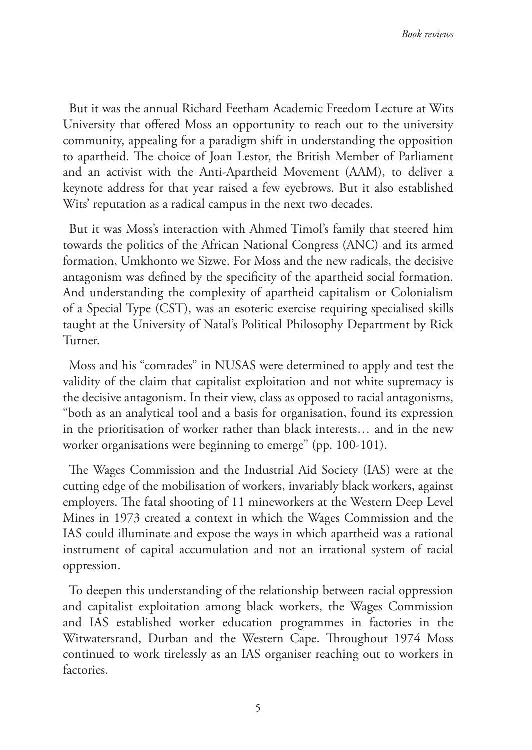But it was the annual Richard Feetham Academic Freedom Lecture at Wits University that offered Moss an opportunity to reach out to the university community, appealing for a paradigm shift in understanding the opposition to apartheid. The choice of Joan Lestor, the British Member of Parliament and an activist with the Anti-Apartheid Movement (AAM), to deliver a keynote address for that year raised a few eyebrows. But it also established Wits' reputation as a radical campus in the next two decades.

But it was Moss's interaction with Ahmed Timol's family that steered him towards the politics of the African National Congress (ANC) and its armed formation, Umkhonto we Sizwe. For Moss and the new radicals, the decisive antagonism was defined by the specificity of the apartheid social formation. And understanding the complexity of apartheid capitalism or Colonialism of a Special Type (CST), was an esoteric exercise requiring specialised skills taught at the University of Natal's Political Philosophy Department by Rick Turner.

Moss and his "comrades" in NUSAS were determined to apply and test the validity of the claim that capitalist exploitation and not white supremacy is the decisive antagonism. In their view, class as opposed to racial antagonisms, "both as an analytical tool and a basis for organisation, found its expression in the prioritisation of worker rather than black interests… and in the new worker organisations were beginning to emerge" (pp. 100-101).

The Wages Commission and the Industrial Aid Society (IAS) were at the cutting edge of the mobilisation of workers, invariably black workers, against employers. The fatal shooting of 11 mineworkers at the Western Deep Level Mines in 1973 created a context in which the Wages Commission and the IAS could illuminate and expose the ways in which apartheid was a rational instrument of capital accumulation and not an irrational system of racial oppression.

To deepen this understanding of the relationship between racial oppression and capitalist exploitation among black workers, the Wages Commission and IAS established worker education programmes in factories in the Witwatersrand, Durban and the Western Cape. Throughout 1974 Moss continued to work tirelessly as an IAS organiser reaching out to workers in factories.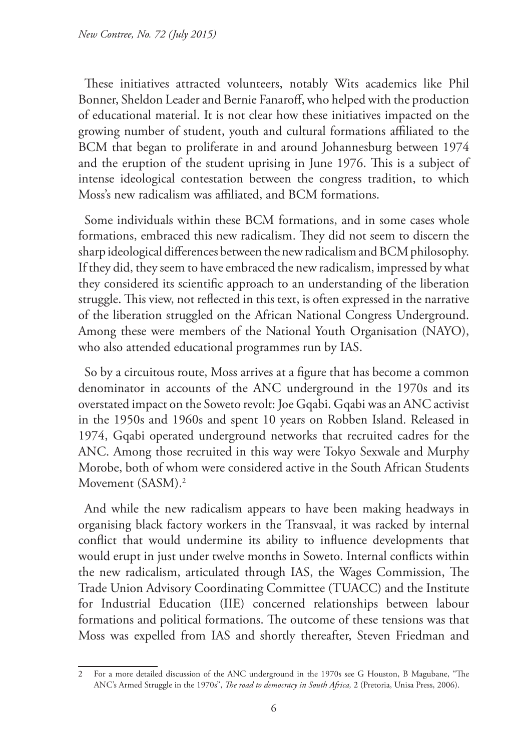These initiatives attracted volunteers, notably Wits academics like Phil Bonner, Sheldon Leader and Bernie Fanaroff, who helped with the production of educational material. It is not clear how these initiatives impacted on the growing number of student, youth and cultural formations affiliated to the BCM that began to proliferate in and around Johannesburg between 1974 and the eruption of the student uprising in June 1976. This is a subject of intense ideological contestation between the congress tradition, to which Moss's new radicalism was affiliated, and BCM formations.

Some individuals within these BCM formations, and in some cases whole formations, embraced this new radicalism. They did not seem to discern the sharp ideological differences between the new radicalism and BCM philosophy. If they did, they seem to have embraced the new radicalism, impressed by what they considered its scientific approach to an understanding of the liberation struggle. This view, not reflected in this text, is often expressed in the narrative of the liberation struggled on the African National Congress Underground. Among these were members of the National Youth Organisation (NAYO), who also attended educational programmes run by IAS.

So by a circuitous route, Moss arrives at a figure that has become a common denominator in accounts of the ANC underground in the 1970s and its overstated impact on the Soweto revolt: Joe Gqabi. Gqabi was an ANC activist in the 1950s and 1960s and spent 10 years on Robben Island. Released in 1974, Gqabi operated underground networks that recruited cadres for the ANC. Among those recruited in this way were Tokyo Sexwale and Murphy Morobe, both of whom were considered active in the South African Students Movement (SASM).<sup>2</sup>

And while the new radicalism appears to have been making headways in organising black factory workers in the Transvaal, it was racked by internal conflict that would undermine its ability to influence developments that would erupt in just under twelve months in Soweto. Internal conflicts within the new radicalism, articulated through IAS, the Wages Commission, The Trade Union Advisory Coordinating Committee (TUACC) and the Institute for Industrial Education (IIE) concerned relationships between labour formations and political formations. The outcome of these tensions was that Moss was expelled from IAS and shortly thereafter, Steven Friedman and

<sup>2</sup> For a more detailed discussion of the ANC underground in the 1970s see G Houston, B Magubane, "The ANC's Armed Struggle in the 1970s", *The road to democracy in South Africa,* 2 (Pretoria, Unisa Press, 2006).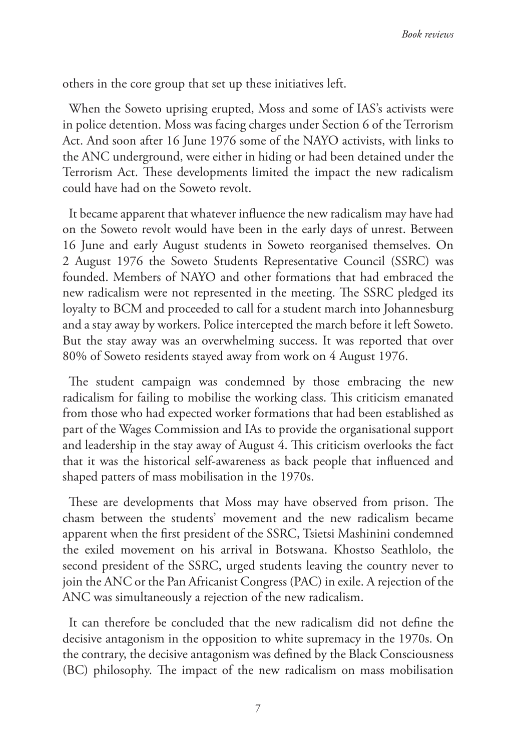others in the core group that set up these initiatives left.

When the Soweto uprising erupted, Moss and some of IAS's activists were in police detention. Moss was facing charges under Section 6 of the Terrorism Act. And soon after 16 June 1976 some of the NAYO activists, with links to the ANC underground, were either in hiding or had been detained under the Terrorism Act. These developments limited the impact the new radicalism could have had on the Soweto revolt.

It became apparent that whatever influence the new radicalism may have had on the Soweto revolt would have been in the early days of unrest. Between 16 June and early August students in Soweto reorganised themselves. On 2 August 1976 the Soweto Students Representative Council (SSRC) was founded. Members of NAYO and other formations that had embraced the new radicalism were not represented in the meeting. The SSRC pledged its loyalty to BCM and proceeded to call for a student march into Johannesburg and a stay away by workers. Police intercepted the march before it left Soweto. But the stay away was an overwhelming success. It was reported that over 80% of Soweto residents stayed away from work on 4 August 1976.

The student campaign was condemned by those embracing the new radicalism for failing to mobilise the working class. This criticism emanated from those who had expected worker formations that had been established as part of the Wages Commission and IAs to provide the organisational support and leadership in the stay away of August 4. This criticism overlooks the fact that it was the historical self-awareness as back people that influenced and shaped patters of mass mobilisation in the 1970s.

These are developments that Moss may have observed from prison. The chasm between the students' movement and the new radicalism became apparent when the first president of the SSRC, Tsietsi Mashinini condemned the exiled movement on his arrival in Botswana. Khostso Seathlolo, the second president of the SSRC, urged students leaving the country never to join the ANC or the Pan Africanist Congress (PAC) in exile. A rejection of the ANC was simultaneously a rejection of the new radicalism.

It can therefore be concluded that the new radicalism did not define the decisive antagonism in the opposition to white supremacy in the 1970s. On the contrary, the decisive antagonism was defined by the Black Consciousness (BC) philosophy. The impact of the new radicalism on mass mobilisation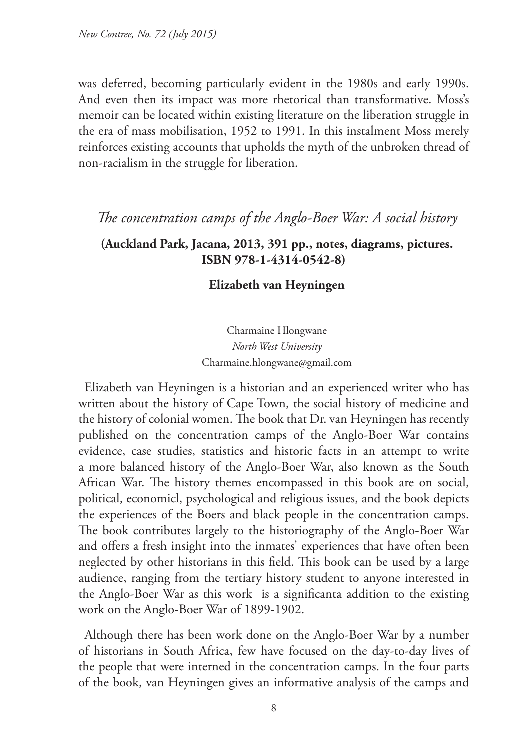was deferred, becoming particularly evident in the 1980s and early 1990s. And even then its impact was more rhetorical than transformative. Moss's memoir can be located within existing literature on the liberation struggle in the era of mass mobilisation, 1952 to 1991. In this instalment Moss merely reinforces existing accounts that upholds the myth of the unbroken thread of non-racialism in the struggle for liberation.

# *The concentration camps of the Anglo-Boer War: A social history*

# **(Auckland Park, Jacana, 2013, 391 pp., notes, diagrams, pictures. ISBN 978-1-4314-0542-8)**

### **Elizabeth van Heyningen**

Charmaine Hlongwane *North West University* Charmaine.hlongwane@gmail.com

Elizabeth van Heyningen is a historian and an experienced writer who has written about the history of Cape Town, the social history of medicine and the history of colonial women. The book that Dr. van Heyningen has recently published on the concentration camps of the Anglo-Boer War contains evidence, case studies, statistics and historic facts in an attempt to write a more balanced history of the Anglo-Boer War, also known as the South African War. The history themes encompassed in this book are on social, political, economicl, psychological and religious issues, and the book depicts the experiences of the Boers and black people in the concentration camps. The book contributes largely to the historiography of the Anglo-Boer War and offers a fresh insight into the inmates' experiences that have often been neglected by other historians in this field. This book can be used by a large audience, ranging from the tertiary history student to anyone interested in the Anglo-Boer War as this work is a significanta addition to the existing work on the Anglo-Boer War of 1899-1902.

Although there has been work done on the Anglo-Boer War by a number of historians in South Africa, few have focused on the day-to-day lives of the people that were interned in the concentration camps. In the four parts of the book, van Heyningen gives an informative analysis of the camps and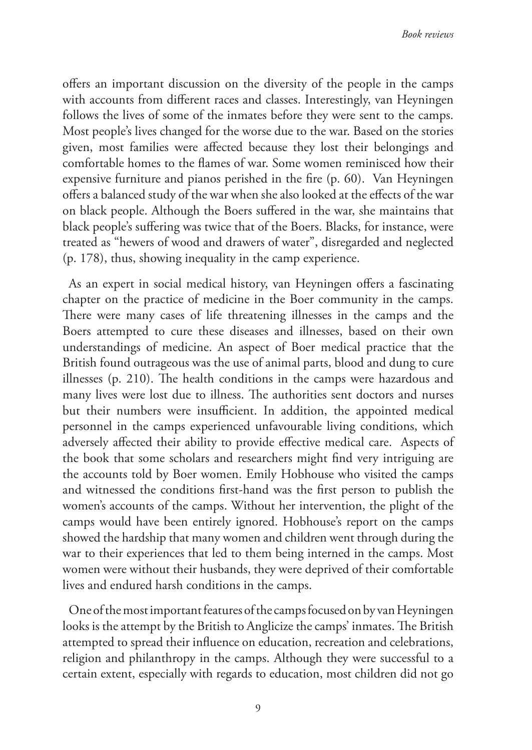offers an important discussion on the diversity of the people in the camps with accounts from different races and classes. Interestingly, van Heyningen follows the lives of some of the inmates before they were sent to the camps. Most people's lives changed for the worse due to the war. Based on the stories given, most families were affected because they lost their belongings and comfortable homes to the flames of war. Some women reminisced how their expensive furniture and pianos perished in the fire (p. 60). Van Heyningen offers a balanced study of the war when she also looked at the effects of the war on black people. Although the Boers suffered in the war, she maintains that black people's suffering was twice that of the Boers. Blacks, for instance, were treated as "hewers of wood and drawers of water", disregarded and neglected (p. 178), thus, showing inequality in the camp experience.

As an expert in social medical history, van Heyningen offers a fascinating chapter on the practice of medicine in the Boer community in the camps. There were many cases of life threatening illnesses in the camps and the Boers attempted to cure these diseases and illnesses, based on their own understandings of medicine. An aspect of Boer medical practice that the British found outrageous was the use of animal parts, blood and dung to cure illnesses (p. 210). The health conditions in the camps were hazardous and many lives were lost due to illness. The authorities sent doctors and nurses but their numbers were insufficient. In addition, the appointed medical personnel in the camps experienced unfavourable living conditions, which adversely affected their ability to provide effective medical care. Aspects of the book that some scholars and researchers might find very intriguing are the accounts told by Boer women. Emily Hobhouse who visited the camps and witnessed the conditions first-hand was the first person to publish the women's accounts of the camps. Without her intervention, the plight of the camps would have been entirely ignored. Hobhouse's report on the camps showed the hardship that many women and children went through during the war to their experiences that led to them being interned in the camps. Most women were without their husbands, they were deprived of their comfortable lives and endured harsh conditions in the camps.

One of the most important features of the camps focused on by van Heyningen looks is the attempt by the British to Anglicize the camps' inmates. The British attempted to spread their influence on education, recreation and celebrations, religion and philanthropy in the camps. Although they were successful to a certain extent, especially with regards to education, most children did not go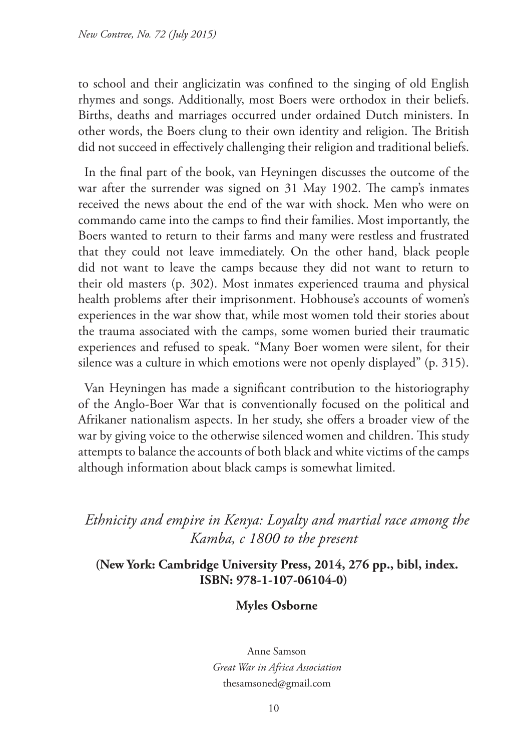to school and their anglicizatin was confined to the singing of old English rhymes and songs. Additionally, most Boers were orthodox in their beliefs. Births, deaths and marriages occurred under ordained Dutch ministers. In other words, the Boers clung to their own identity and religion. The British did not succeed in effectively challenging their religion and traditional beliefs.

In the final part of the book, van Heyningen discusses the outcome of the war after the surrender was signed on 31 May 1902. The camp's inmates received the news about the end of the war with shock. Men who were on commando came into the camps to find their families. Most importantly, the Boers wanted to return to their farms and many were restless and frustrated that they could not leave immediately. On the other hand, black people did not want to leave the camps because they did not want to return to their old masters (p. 302). Most inmates experienced trauma and physical health problems after their imprisonment. Hobhouse's accounts of women's experiences in the war show that, while most women told their stories about the trauma associated with the camps, some women buried their traumatic experiences and refused to speak. "Many Boer women were silent, for their silence was a culture in which emotions were not openly displayed" (p. 315).

Van Heyningen has made a significant contribution to the historiography of the Anglo-Boer War that is conventionally focused on the political and Afrikaner nationalism aspects. In her study, she offers a broader view of the war by giving voice to the otherwise silenced women and children. This study attempts to balance the accounts of both black and white victims of the camps although information about black camps is somewhat limited.

*Ethnicity and empire in Kenya: Loyalty and martial race among the Kamba, c 1800 to the present*

**(New York: Cambridge University Press, 2014, 276 pp., bibl, index. ISBN: 978-1-107-06104-0)**

### **Myles Osborne**

Anne Samson *Great War in Africa Association* thesamsoned@gmail.com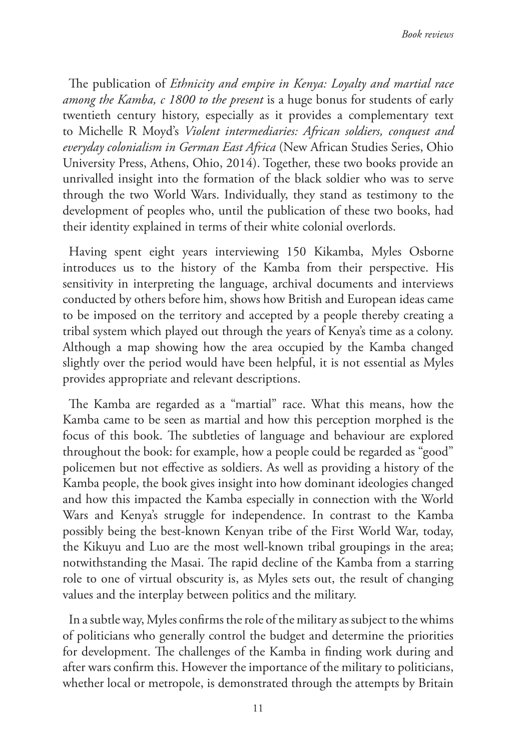The publication of *Ethnicity and empire in Kenya: Loyalty and martial race among the Kamba, c 1800 to the present* is a huge bonus for students of early twentieth century history, especially as it provides a complementary text to Michelle R Moyd's *Violent intermediaries: African soldiers, conquest and everyday colonialism in German East Africa* (New African Studies Series, Ohio University Press, Athens, Ohio, 2014). Together, these two books provide an unrivalled insight into the formation of the black soldier who was to serve through the two World Wars. Individually, they stand as testimony to the development of peoples who, until the publication of these two books, had their identity explained in terms of their white colonial overlords.

Having spent eight years interviewing 150 Kikamba, Myles Osborne introduces us to the history of the Kamba from their perspective. His sensitivity in interpreting the language, archival documents and interviews conducted by others before him, shows how British and European ideas came to be imposed on the territory and accepted by a people thereby creating a tribal system which played out through the years of Kenya's time as a colony. Although a map showing how the area occupied by the Kamba changed slightly over the period would have been helpful, it is not essential as Myles provides appropriate and relevant descriptions.

The Kamba are regarded as a "martial" race. What this means, how the Kamba came to be seen as martial and how this perception morphed is the focus of this book. The subtleties of language and behaviour are explored throughout the book: for example, how a people could be regarded as "good" policemen but not effective as soldiers. As well as providing a history of the Kamba people, the book gives insight into how dominant ideologies changed and how this impacted the Kamba especially in connection with the World Wars and Kenya's struggle for independence. In contrast to the Kamba possibly being the best-known Kenyan tribe of the First World War, today, the Kikuyu and Luo are the most well-known tribal groupings in the area; notwithstanding the Masai. The rapid decline of the Kamba from a starring role to one of virtual obscurity is, as Myles sets out, the result of changing values and the interplay between politics and the military.

In a subtle way, Myles confirms the role of the military as subject to the whims of politicians who generally control the budget and determine the priorities for development. The challenges of the Kamba in finding work during and after wars confirm this. However the importance of the military to politicians, whether local or metropole, is demonstrated through the attempts by Britain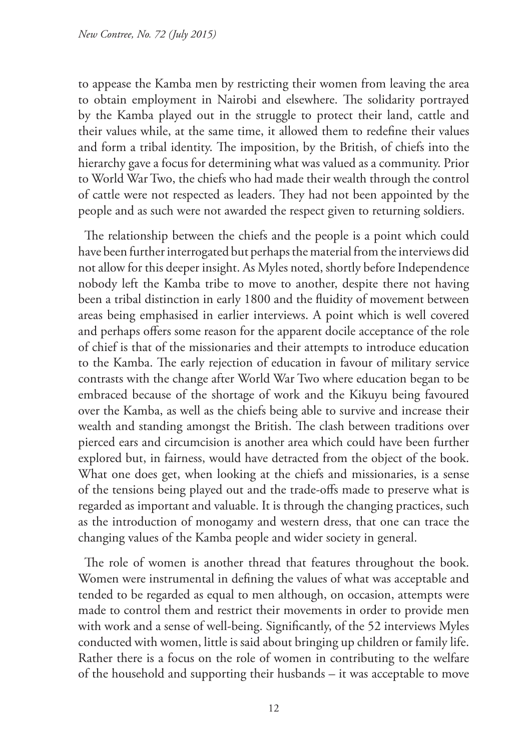to appease the Kamba men by restricting their women from leaving the area to obtain employment in Nairobi and elsewhere. The solidarity portrayed by the Kamba played out in the struggle to protect their land, cattle and their values while, at the same time, it allowed them to redefine their values and form a tribal identity. The imposition, by the British, of chiefs into the hierarchy gave a focus for determining what was valued as a community. Prior to World War Two, the chiefs who had made their wealth through the control of cattle were not respected as leaders. They had not been appointed by the people and as such were not awarded the respect given to returning soldiers.

The relationship between the chiefs and the people is a point which could have been further interrogated but perhaps the material from the interviews did not allow for this deeper insight. As Myles noted, shortly before Independence nobody left the Kamba tribe to move to another, despite there not having been a tribal distinction in early 1800 and the fluidity of movement between areas being emphasised in earlier interviews. A point which is well covered and perhaps offers some reason for the apparent docile acceptance of the role of chief is that of the missionaries and their attempts to introduce education to the Kamba. The early rejection of education in favour of military service contrasts with the change after World War Two where education began to be embraced because of the shortage of work and the Kikuyu being favoured over the Kamba, as well as the chiefs being able to survive and increase their wealth and standing amongst the British. The clash between traditions over pierced ears and circumcision is another area which could have been further explored but, in fairness, would have detracted from the object of the book. What one does get, when looking at the chiefs and missionaries, is a sense of the tensions being played out and the trade-offs made to preserve what is regarded as important and valuable. It is through the changing practices, such as the introduction of monogamy and western dress, that one can trace the changing values of the Kamba people and wider society in general.

The role of women is another thread that features throughout the book. Women were instrumental in defining the values of what was acceptable and tended to be regarded as equal to men although, on occasion, attempts were made to control them and restrict their movements in order to provide men with work and a sense of well-being. Significantly, of the 52 interviews Myles conducted with women, little is said about bringing up children or family life. Rather there is a focus on the role of women in contributing to the welfare of the household and supporting their husbands – it was acceptable to move